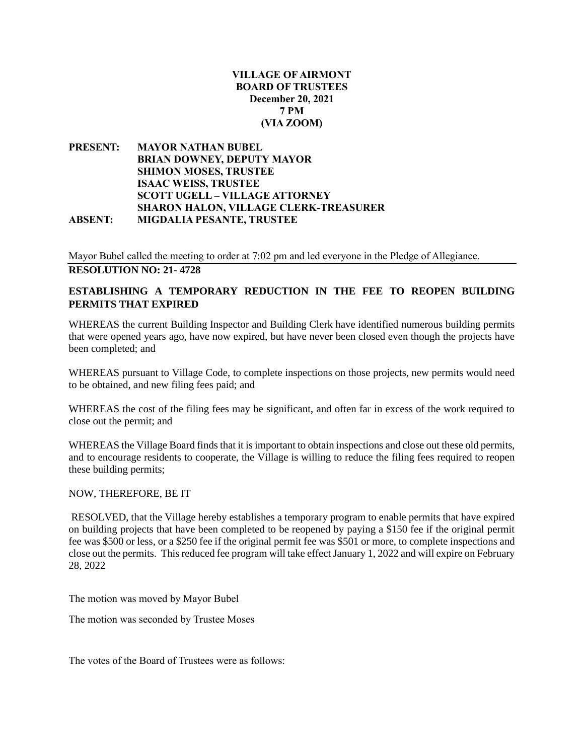### **VILLAGE OF AIRMONT BOARD OF TRUSTEES December 20, 2021 7 PM (VIA ZOOM)**

### **PRESENT: MAYOR NATHAN BUBEL BRIAN DOWNEY, DEPUTY MAYOR SHIMON MOSES, TRUSTEE ISAAC WEISS, TRUSTEE SCOTT UGELL – VILLAGE ATTORNEY SHARON HALON, VILLAGE CLERK-TREASURER ABSENT: MIGDALIA PESANTE, TRUSTEE**

Mayor Bubel called the meeting to order at 7:02 pm and led everyone in the Pledge of Allegiance. **RESOLUTION NO: 21- 4728**

# **ESTABLISHING A TEMPORARY REDUCTION IN THE FEE TO REOPEN BUILDING PERMITS THAT EXPIRED**

WHEREAS the current Building Inspector and Building Clerk have identified numerous building permits that were opened years ago, have now expired, but have never been closed even though the projects have been completed; and

WHEREAS pursuant to Village Code, to complete inspections on those projects, new permits would need to be obtained, and new filing fees paid; and

WHEREAS the cost of the filing fees may be significant, and often far in excess of the work required to close out the permit; and

WHEREAS the Village Board finds that it is important to obtain inspections and close out these old permits, and to encourage residents to cooperate, the Village is willing to reduce the filing fees required to reopen these building permits;

### NOW, THEREFORE, BE IT

RESOLVED, that the Village hereby establishes a temporary program to enable permits that have expired on building projects that have been completed to be reopened by paying a \$150 fee if the original permit fee was \$500 or less, or a \$250 fee if the original permit fee was \$501 or more, to complete inspections and close out the permits. This reduced fee program will take effect January 1, 2022 and will expire on February 28, 2022

The motion was moved by Mayor Bubel

The motion was seconded by Trustee Moses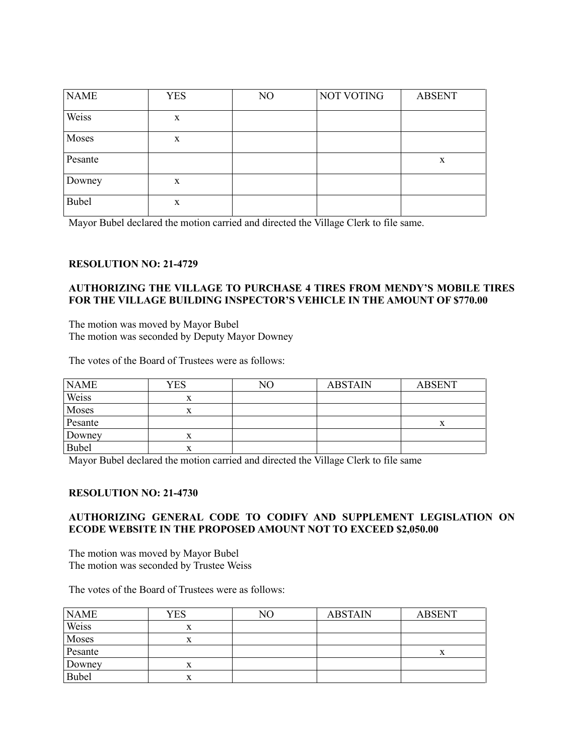| <b>NAME</b>  | <b>YES</b> | N <sub>O</sub> | <b>NOT VOTING</b> | <b>ABSENT</b> |
|--------------|------------|----------------|-------------------|---------------|
| Weiss        | X          |                |                   |               |
| Moses        | X          |                |                   |               |
| Pesante      |            |                |                   | X             |
| Downey       | X          |                |                   |               |
| <b>Bubel</b> | X          |                |                   |               |

Mayor Bubel declared the motion carried and directed the Village Clerk to file same.

### **RESOLUTION NO: 21-4729**

### **AUTHORIZING THE VILLAGE TO PURCHASE 4 TIRES FROM MENDY'S MOBILE TIRES FOR THE VILLAGE BUILDING INSPECTOR'S VEHICLE IN THE AMOUNT OF \$770.00**

The motion was moved by Mayor Bubel The motion was seconded by Deputy Mayor Downey

The votes of the Board of Trustees were as follows:

| <b>NAME</b> | YES    | NО | <b>ABSTAIN</b> | <b>ABSENT</b> |
|-------------|--------|----|----------------|---------------|
| Weiss       | x      |    |                |               |
| Moses       |        |    |                |               |
| Pesante     |        |    |                |               |
| Downey      |        |    |                |               |
| Bubel       | v<br>л |    |                |               |

Mayor Bubel declared the motion carried and directed the Village Clerk to file same

#### **RESOLUTION NO: 21-4730**

### **AUTHORIZING GENERAL CODE TO CODIFY AND SUPPLEMENT LEGISLATION ON ECODE WEBSITE IN THE PROPOSED AMOUNT NOT TO EXCEED \$2,050.00**

The motion was moved by Mayor Bubel The motion was seconded by Trustee Weiss

| <b>NAME</b>  | YES | NO | <b>ABSTAIN</b> | <b>ABSENT</b> |
|--------------|-----|----|----------------|---------------|
| Weiss        | x   |    |                |               |
| Moses        | л   |    |                |               |
| Pesante      |     |    |                | л             |
| Downey       | л   |    |                |               |
| <b>Bubel</b> | л   |    |                |               |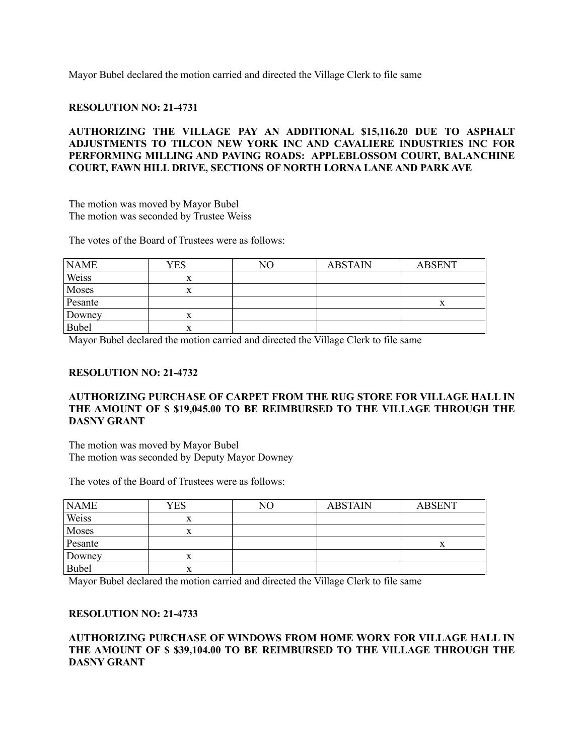Mayor Bubel declared the motion carried and directed the Village Clerk to file same

#### **RESOLUTION NO: 21-4731**

### **AUTHORIZING THE VILLAGE PAY AN ADDITIONAL \$15,116.20 DUE TO ASPHALT ADJUSTMENTS TO TILCON NEW YORK INC AND CAVALIERE INDUSTRIES INC FOR PERFORMING MILLING AND PAVING ROADS: APPLEBLOSSOM COURT, BALANCHINE COURT, FAWN HILL DRIVE, SECTIONS OF NORTH LORNA LANE AND PARK AVE**

The motion was moved by Mayor Bubel The motion was seconded by Trustee Weiss

The votes of the Board of Trustees were as follows:

| <b>NAME</b>  | YES | NО | <b>ABSTAIN</b> | <b>ABSENT</b> |
|--------------|-----|----|----------------|---------------|
| Weiss        |     |    |                |               |
| Moses        |     |    |                |               |
| Pesante      |     |    |                |               |
| Downey       |     |    |                |               |
| <b>Bubel</b> |     |    |                |               |

Mayor Bubel declared the motion carried and directed the Village Clerk to file same

#### **RESOLUTION NO: 21-4732**

### **AUTHORIZING PURCHASE OF CARPET FROM THE RUG STORE FOR VILLAGE HALL IN THE AMOUNT OF \$ \$19,045.00 TO BE REIMBURSED TO THE VILLAGE THROUGH THE DASNY GRANT**

The motion was moved by Mayor Bubel The motion was seconded by Deputy Mayor Downey

The votes of the Board of Trustees were as follows:

| <b>NAME</b>  | YES | NО | <b>ABSTAIN</b> | <b>ABSENT</b> |
|--------------|-----|----|----------------|---------------|
| Weiss        | л   |    |                |               |
| Moses        | л   |    |                |               |
| Pesante      |     |    |                |               |
| Downey       |     |    |                |               |
| <b>Bubel</b> | л   |    |                |               |

Mayor Bubel declared the motion carried and directed the Village Clerk to file same

#### **RESOLUTION NO: 21-4733**

### **AUTHORIZING PURCHASE OF WINDOWS FROM HOME WORX FOR VILLAGE HALL IN THE AMOUNT OF \$ \$39,104.00 TO BE REIMBURSED TO THE VILLAGE THROUGH THE DASNY GRANT**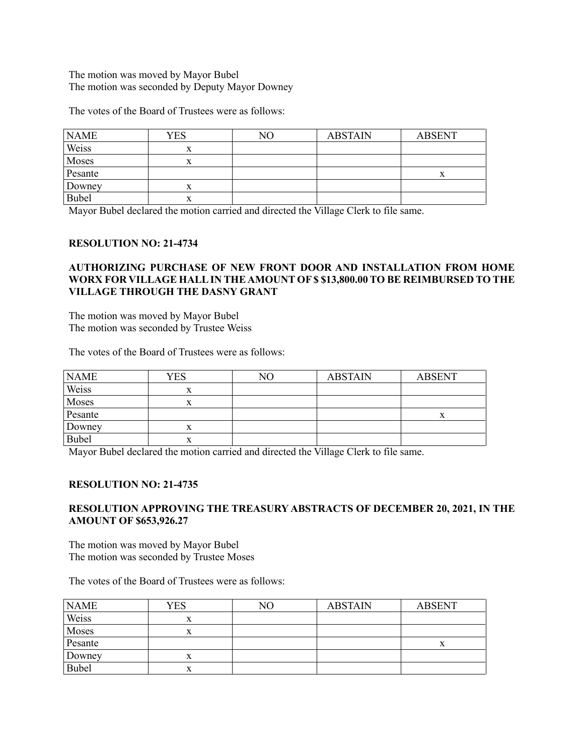### The motion was moved by Mayor Bubel The motion was seconded by Deputy Mayor Downey

The votes of the Board of Trustees were as follows:

| <b>NAME</b>  | YES | NΟ | <b>ABSTAIN</b> | <b>ABSENT</b> |
|--------------|-----|----|----------------|---------------|
| Weiss        |     |    |                |               |
| Moses        |     |    |                |               |
| Pesante      |     |    |                |               |
| Downey       | л   |    |                |               |
| <b>Bubel</b> | л   |    |                |               |

Mayor Bubel declared the motion carried and directed the Village Clerk to file same.

### **RESOLUTION NO: 21-4734**

### **AUTHORIZING PURCHASE OF NEW FRONT DOOR AND INSTALLATION FROM HOME WORX FOR VILLAGE HALL IN THE AMOUNT OF \$ \$13,800.00 TO BE REIMBURSED TO THE VILLAGE THROUGH THE DASNY GRANT**

The motion was moved by Mayor Bubel The motion was seconded by Trustee Weiss

The votes of the Board of Trustees were as follows:

| <b>NAME</b>  | YES | NΟ | <b>ABSTAIN</b> | <b>ABSENT</b> |
|--------------|-----|----|----------------|---------------|
| Weiss        | л   |    |                |               |
| Moses        | л   |    |                |               |
| Pesante      |     |    |                |               |
| Downey       |     |    |                |               |
| <b>Bubel</b> |     |    |                |               |

Mayor Bubel declared the motion carried and directed the Village Clerk to file same.

### **RESOLUTION NO: 21-4735**

### **RESOLUTION APPROVING THE TREASURY ABSTRACTS OF DECEMBER 20, 2021, IN THE AMOUNT OF \$653,926.27**

The motion was moved by Mayor Bubel The motion was seconded by Trustee Moses

| <b>NAME</b>  | YES | NΟ | <b>ABSTAIN</b> | <b>ABSENT</b> |
|--------------|-----|----|----------------|---------------|
| Weiss        | л   |    |                |               |
| Moses        | л   |    |                |               |
| Pesante      |     |    |                | л             |
| Downey       | л   |    |                |               |
| <b>Bubel</b> | x   |    |                |               |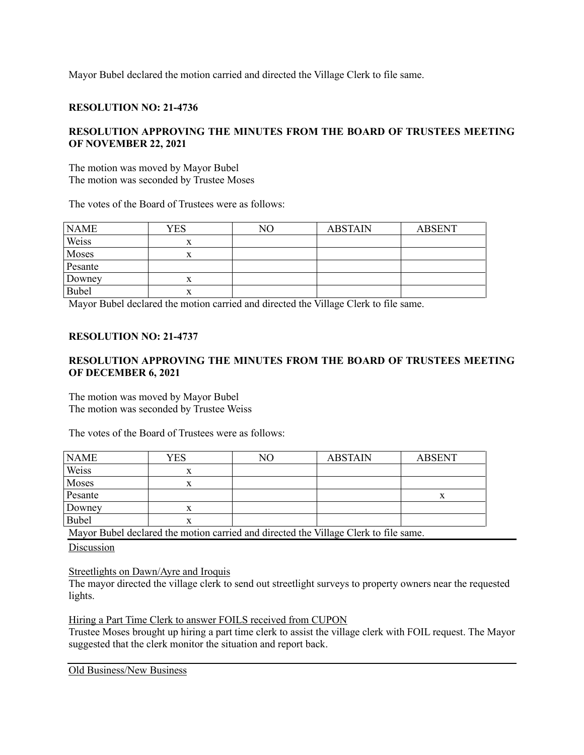Mayor Bubel declared the motion carried and directed the Village Clerk to file same.

## **RESOLUTION NO: 21-4736**

## **RESOLUTION APPROVING THE MINUTES FROM THE BOARD OF TRUSTEES MEETING OF NOVEMBER 22, 2021**

The motion was moved by Mayor Bubel The motion was seconded by Trustee Moses

The votes of the Board of Trustees were as follows:

| <b>NAME</b> | YES | NО | <b>ABSTAIN</b> | <b>ABSENT</b> |
|-------------|-----|----|----------------|---------------|
| Weiss       | x   |    |                |               |
| Moses       | л   |    |                |               |
| Pesante     |     |    |                |               |
| Downey      | x   |    |                |               |
| Bubel       | x   |    |                |               |

Mayor Bubel declared the motion carried and directed the Village Clerk to file same.

### **RESOLUTION NO: 21-4737**

## **RESOLUTION APPROVING THE MINUTES FROM THE BOARD OF TRUSTEES MEETING OF DECEMBER 6, 2021**

The motion was moved by Mayor Bubel The motion was seconded by Trustee Weiss

The votes of the Board of Trustees were as follows:

| YES | NO | <b>ABSTAIN</b> | <b>ABSENT</b> |
|-----|----|----------------|---------------|
|     |    |                |               |
|     |    |                |               |
|     |    |                |               |
| л   |    |                |               |
| A   |    |                |               |
|     |    |                |               |

Mayor Bubel declared the motion carried and directed the Village Clerk to file same.

Discussion

Streetlights on Dawn/Ayre and Iroquis

The mayor directed the village clerk to send out streetlight surveys to property owners near the requested lights.

Hiring a Part Time Clerk to answer FOILS received from CUPON

Trustee Moses brought up hiring a part time clerk to assist the village clerk with FOIL request. The Mayor suggested that the clerk monitor the situation and report back.

Old Business/New Business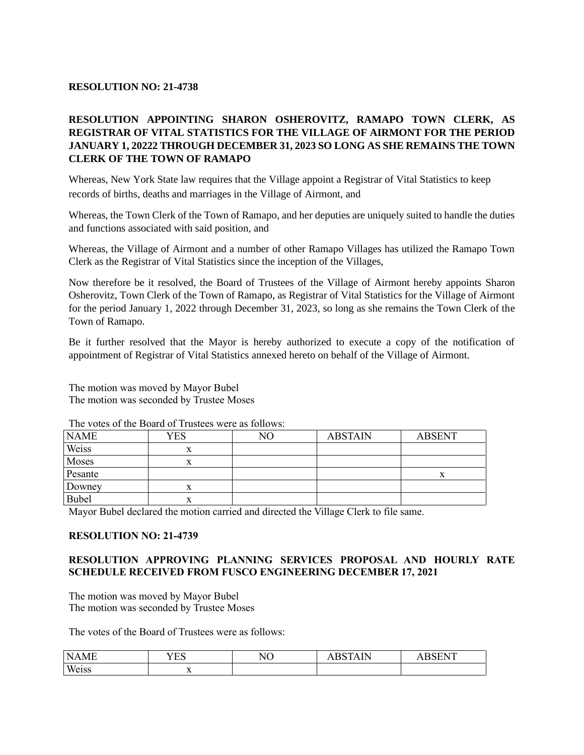## **RESOLUTION NO: 21-4738**

# **RESOLUTION APPOINTING SHARON OSHEROVITZ, RAMAPO TOWN CLERK, AS REGISTRAR OF VITAL STATISTICS FOR THE VILLAGE OF AIRMONT FOR THE PERIOD JANUARY 1, 20222 THROUGH DECEMBER 31, 2023 SO LONG AS SHE REMAINS THE TOWN CLERK OF THE TOWN OF RAMAPO**

Whereas, New York State law requires that the Village appoint a Registrar of Vital Statistics to keep records of births, deaths and marriages in the Village of Airmont, and

Whereas, the Town Clerk of the Town of Ramapo, and her deputies are uniquely suited to handle the duties and functions associated with said position, and

Whereas, the Village of Airmont and a number of other Ramapo Villages has utilized the Ramapo Town Clerk as the Registrar of Vital Statistics since the inception of the Villages,

Now therefore be it resolved, the Board of Trustees of the Village of Airmont hereby appoints Sharon Osherovitz, Town Clerk of the Town of Ramapo, as Registrar of Vital Statistics for the Village of Airmont for the period January 1, 2022 through December 31, 2023, so long as she remains the Town Clerk of the Town of Ramapo.

Be it further resolved that the Mayor is hereby authorized to execute a copy of the notification of appointment of Registrar of Vital Statistics annexed hereto on behalf of the Village of Airmont.

The motion was moved by Mayor Bubel The motion was seconded by Trustee Moses

| <b>NAME</b> | YES | NО | <b>ABSTAIN</b> | <b>ABSENT</b> |
|-------------|-----|----|----------------|---------------|
| Weiss       |     |    |                |               |
| Moses       |     |    |                |               |
| Pesante     |     |    |                |               |
| Downey      |     |    |                |               |
| Bubel       |     |    |                |               |

The votes of the Board of Trustees were as follows:

Mayor Bubel declared the motion carried and directed the Village Clerk to file same.

### **RESOLUTION NO: 21-4739**

### **RESOLUTION APPROVING PLANNING SERVICES PROPOSAL AND HOURLY RATE SCHEDULE RECEIVED FROM FUSCO ENGINEERING DECEMBER 17, 2021**

The motion was moved by Mayor Bubel The motion was seconded by Trustee Moses

| N<br>' ML<br><b>A</b> 14<br>$\overline{\phantom{a}}$ | $\tau \Gamma$<br>ـ<br>◡ | $\tau$<br>⋯ | D | $\overline{ }$ |
|------------------------------------------------------|-------------------------|-------------|---|----------------|
| Weiss<br><b>CLOD</b>                                 | $\lambda$               |             |   |                |